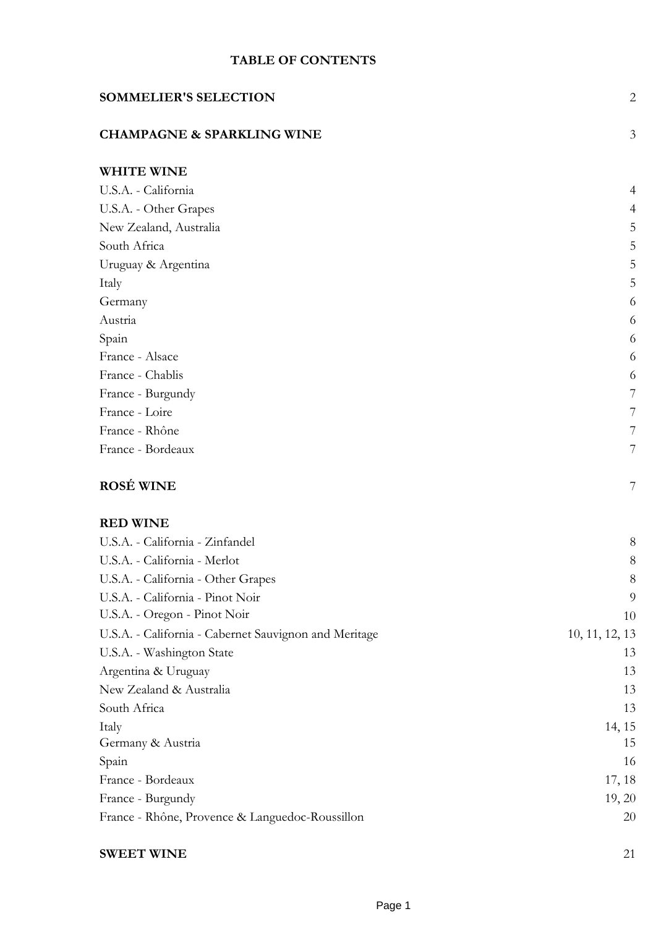# **TABLE OF CONTENTS**

| <b>SOMMELIER'S SELECTION</b>                          | $\mathbf{2}$   |
|-------------------------------------------------------|----------------|
| <b>CHAMPAGNE &amp; SPARKLING WINE</b>                 | 3              |
| <b>WHITE WINE</b>                                     |                |
| U.S.A. - California                                   | 4              |
| U.S.A. - Other Grapes                                 | $\overline{4}$ |
| New Zealand, Australia                                | 5              |
| South Africa                                          | 5              |
| Uruguay & Argentina                                   | 5              |
| Italy                                                 | 5              |
| Germany                                               | 6              |
| Austria                                               | 6              |
| Spain                                                 | 6              |
| France - Alsace                                       | 6              |
| France - Chablis                                      | 6              |
| France - Burgundy                                     | $\overline{7}$ |
| France - Loire                                        | 7              |
| France - Rhône                                        | 7              |
| France - Bordeaux                                     | $\overline{7}$ |
| <b>ROSÉ WINE</b>                                      | 7              |
| <b>RED WINE</b>                                       |                |
| U.S.A. - California - Zinfandel                       | 8              |
| U.S.A. - California - Merlot                          | 8              |
| U.S.A. - California - Other Grapes                    | 8              |
| U.S.A. - California - Pinot Noir                      | 9              |
| U.S.A. - Oregon - Pinot Noir                          | 10             |
| U.S.A. - California - Cabernet Sauvignon and Meritage | 10, 11, 12, 13 |
| U.S.A. - Washington State                             | 13             |
| Argentina & Uruguay                                   | 13             |
| New Zealand & Australia                               | 13             |
| South Africa                                          | 13             |
| Italy                                                 | 14, 15         |
| Germany & Austria                                     | 15             |
| Spain                                                 | 16             |
| France - Bordeaux                                     | 17, 18         |
| France - Burgundy                                     | 19, 20         |
| France - Rhône, Provence & Languedoc-Roussillon       | 20             |
| <b>SWEET WINE</b>                                     | 21             |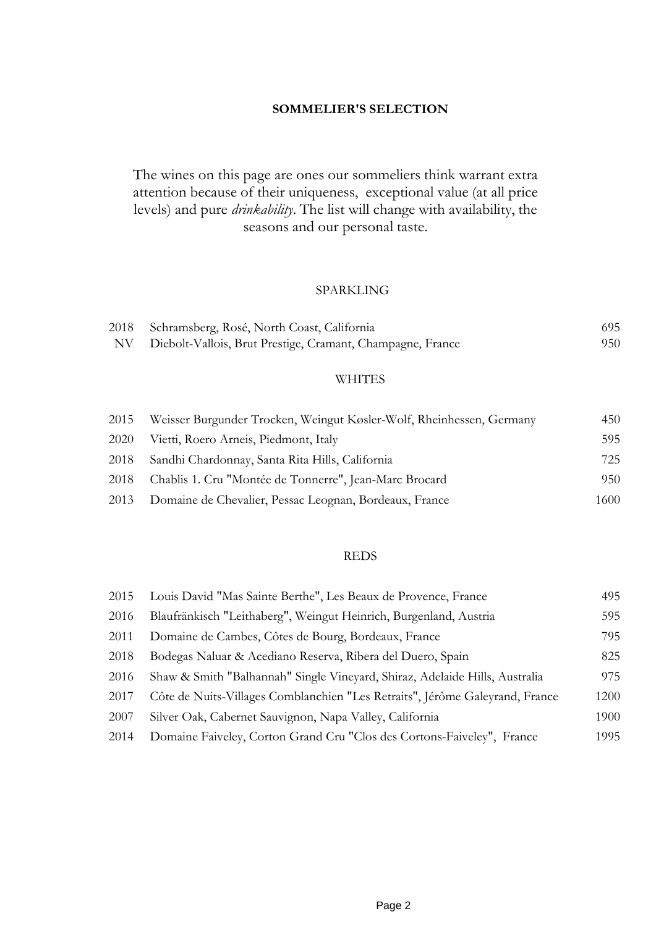#### **SOMMELIER'S SELECTION**

The wines on this page are ones our sommeliers think warrant extra attention because of their uniqueness, exceptional value (at all price levels) and pure *drinkability*. The list will change with availability, the seasons and our personal taste.

#### SPARKLING

| 2018 | Schramsberg, Rosé, North Coast, California                 | 695 |
|------|------------------------------------------------------------|-----|
| NV - | Diebolt-Vallois, Brut Prestige, Cramant, Champagne, France | 950 |

#### WHITES

|      | 2015 Weisser Burgunder Trocken, Weingut Køsler-Wolf, Rheinhessen, Germany | 450  |
|------|---------------------------------------------------------------------------|------|
| 2020 | Vietti, Roero Arneis, Piedmont, Italy                                     | 595  |
|      | 2018 Sandhi Chardonnay, Santa Rita Hills, California                      | 725  |
|      | 2018 Chablis 1. Cru "Montée de Tonnerre", Jean-Marc Brocard               | 950  |
|      | 2013 Domaine de Chevalier, Pessac Leognan, Bordeaux, France               | 1600 |

#### REDS

| 2015 | Louis David "Mas Sainte Berthe", Les Beaux de Provence, France               | 495  |
|------|------------------------------------------------------------------------------|------|
| 2016 | Blaufränkisch "Leithaberg", Weingut Heinrich, Burgenland, Austria            | 595  |
| 2011 | Domaine de Cambes, Côtes de Bourg, Bordeaux, France                          | 795  |
| 2018 | Bodegas Naluar & Acediano Reserva, Ribera del Duero, Spain                   | 825  |
| 2016 | Shaw & Smith "Balhannah" Single Vineyard, Shiraz, Adelaide Hills, Australia  | 975  |
| 2017 | Côte de Nuits-Villages Comblanchien "Les Retraits", Jérôme Galeyrand, France | 1200 |
| 2007 | Silver Oak, Cabernet Sauvignon, Napa Valley, California                      | 1900 |
| 2014 | Domaine Faiveley, Corton Grand Cru "Clos des Cortons-Faiveley", France       | 1995 |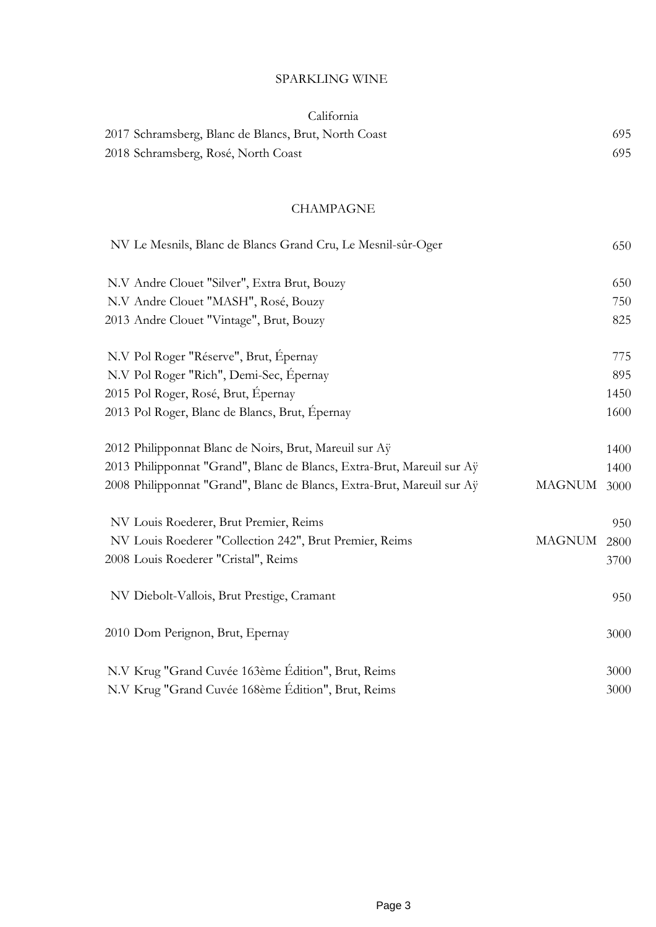## SPARKLING WINE

| California |  |
|------------|--|
|            |  |

| 2017 Schramsberg, Blanc de Blancs, Brut, North Coast | 695 |
|------------------------------------------------------|-----|
| 2018 Schramsberg, Rosé, North Coast                  | 695 |

#### CHAMPAGNE

| NV Le Mesnils, Blanc de Blancs Grand Cru, Le Mesnil-sûr-Oger           |               | 650  |
|------------------------------------------------------------------------|---------------|------|
| N.V Andre Clouet "Silver", Extra Brut, Bouzy                           |               | 650  |
| N.V Andre Clouet "MASH", Rosé, Bouzy                                   |               | 750  |
| 2013 Andre Clouet "Vintage", Brut, Bouzy                               |               | 825  |
| N.V Pol Roger "Réserve", Brut, Épernay                                 |               | 775  |
| N.V Pol Roger "Rich", Demi-Sec, Épernay                                |               | 895  |
| 2015 Pol Roger, Rosé, Brut, Épernay                                    |               | 1450 |
| 2013 Pol Roger, Blanc de Blancs, Brut, Épernay                         |               | 1600 |
| 2012 Philipponnat Blanc de Noirs, Brut, Mareuil sur Aÿ                 |               | 1400 |
| 2013 Philipponnat "Grand", Blanc de Blancs, Extra-Brut, Mareuil sur Aÿ |               | 1400 |
| 2008 Philipponnat "Grand", Blanc de Blancs, Extra-Brut, Mareuil sur Aÿ | <b>MAGNUM</b> | 3000 |
| NV Louis Roederer, Brut Premier, Reims                                 |               | 950  |
| NV Louis Roederer "Collection 242", Brut Premier, Reims                | <b>MAGNUM</b> | 2800 |
| 2008 Louis Roederer "Cristal", Reims                                   |               | 3700 |
| NV Diebolt-Vallois, Brut Prestige, Cramant                             |               | 950  |
| 2010 Dom Perignon, Brut, Epernay                                       |               | 3000 |
| N.V Krug "Grand Cuvée 163ème Édition", Brut, Reims                     |               | 3000 |
| N.V Krug "Grand Cuvée 168ème Édition", Brut, Reims                     |               | 3000 |
|                                                                        |               |      |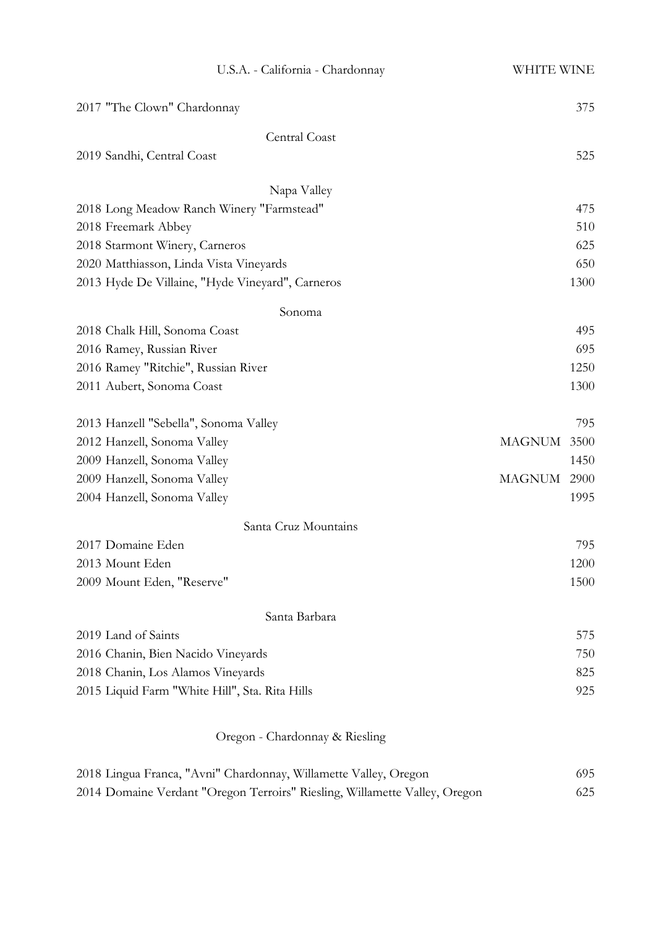| U.S.A. - California - Chardonnay                 | WHITE WINE            |
|--------------------------------------------------|-----------------------|
| 2017 "The Clown" Chardonnay                      | 375                   |
| Central Coast                                    |                       |
| 2019 Sandhi, Central Coast                       | 525                   |
| Napa Valley                                      |                       |
| 2018 Long Meadow Ranch Winery "Farmstead"        | 475                   |
| 2018 Freemark Abbey                              | 510                   |
| 2018 Starmont Winery, Carneros                   | 625                   |
| 2020 Matthiasson, Linda Vista Vineyards          | 650                   |
| 2013 Hyde De Villaine, "Hyde Vineyard", Carneros | 1300                  |
| Sonoma                                           |                       |
| 2018 Chalk Hill, Sonoma Coast                    | 495                   |
| 2016 Ramey, Russian River                        | 695                   |
| 2016 Ramey "Ritchie", Russian River              | 1250                  |
| 2011 Aubert, Sonoma Coast                        | 1300                  |
| 2013 Hanzell "Sebella", Sonoma Valley            | 795                   |
| 2012 Hanzell, Sonoma Valley                      | <b>MAGNUM</b><br>3500 |
| 2009 Hanzell, Sonoma Valley                      | 1450                  |
| 2009 Hanzell, Sonoma Valley                      | <b>MAGNUM</b><br>2900 |
| 2004 Hanzell, Sonoma Valley                      | 1995                  |
| Santa Cruz Mountains                             |                       |
| 2017 Domaine Eden                                | 795                   |
| 2013 Mount Eden                                  | 1200                  |
| 2009 Mount Eden, "Reserve"                       | 1500                  |
| Santa Barbara                                    |                       |
| 2019 Land of Saints                              | 575                   |
| 2016 Chanin, Bien Nacido Vineyards               | 750                   |
| 2018 Chanin, Los Alamos Vineyards                | 825                   |
| 2015 Liquid Farm "White Hill", Sta. Rita Hills   | 925                   |
|                                                  |                       |

# Oregon - Chardonnay & Riesling

| 2018 Lingua Franca, "Avni" Chardonnay, Willamette Valley, Oregon           | 695 |
|----------------------------------------------------------------------------|-----|
| 2014 Domaine Verdant "Oregon Terroirs" Riesling, Willamette Valley, Oregon | 625 |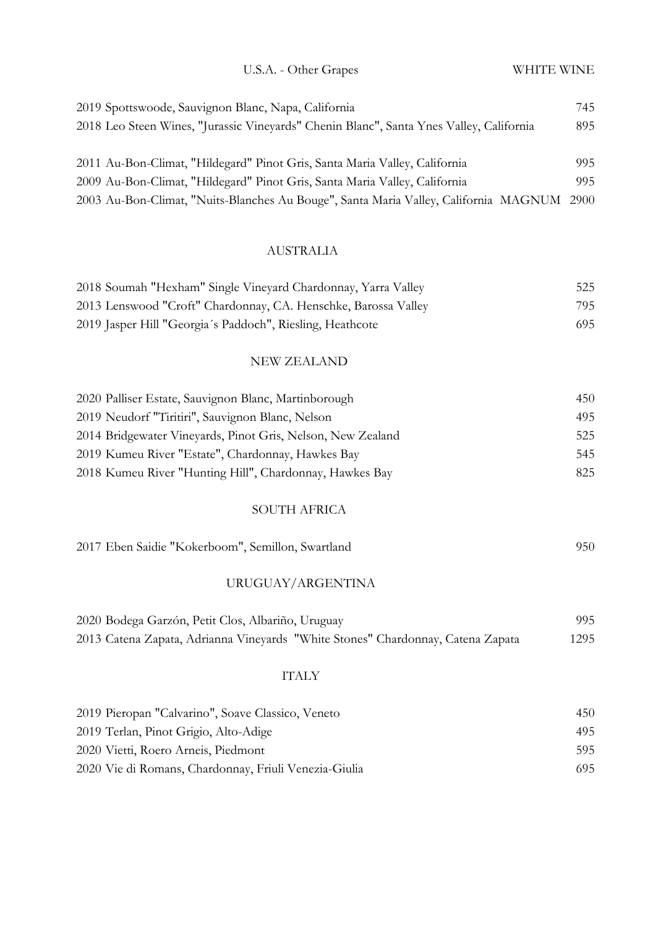| U.S.A. - Other Grapes |  |
|-----------------------|--|
|                       |  |

| 2019 Spottswoode, Sauvignon Blanc, Napa, California                                       | 745 |
|-------------------------------------------------------------------------------------------|-----|
| 2018 Leo Steen Wines, "Jurassic Vineyards" Chenin Blanc", Santa Ynes Valley, California   | 895 |
|                                                                                           |     |
| 2011 Au-Bon-Climat, "Hildegard" Pinot Gris, Santa Maria Valley, California                | 995 |
| 2009 Au-Bon-Climat, "Hildegard" Pinot Gris, Santa Maria Valley, California                | 995 |
| 2003 Au-Bon-Climat, "Nuits-Blanches Au Bouge", Santa Maria Valley, California MAGNUM 2900 |     |

## AUSTRALIA

| 2018 Soumah "Hexham" Single Vineyard Chardonnay, Yarra Valley  | 525 |
|----------------------------------------------------------------|-----|
| 2013 Lenswood "Croft" Chardonnay, CA. Henschke, Barossa Valley | 795 |
| 2019 Jasper Hill "Georgia's Paddoch", Riesling, Heathcote      | 695 |

## NEW ZEALAND

| 2020 Palliser Estate, Sauvignon Blanc, Martinborough        | 450 |
|-------------------------------------------------------------|-----|
| 2019 Neudorf "Tiritin", Sauvignon Blanc, Nelson             | 495 |
| 2014 Bridgewater Vineyards, Pinot Gris, Nelson, New Zealand | 525 |
| 2019 Kumeu River "Estate", Chardonnay, Hawkes Bay           | 545 |
| 2018 Kumeu River "Hunting Hill", Chardonnay, Hawkes Bay     | 825 |

### SOUTH AFRICA

| 2017 Eben Saidie "Kokerboom", Semillon, Swartland | 950 |
|---------------------------------------------------|-----|
|---------------------------------------------------|-----|

## URUGUAY/ARGENTINA

| 2020 Bodega Garzón, Petit Clos, Albariño, Uruguay                               | 995  |
|---------------------------------------------------------------------------------|------|
| 2013 Catena Zapata, Adrianna Vineyards "White Stones" Chardonnay, Catena Zapata | 1295 |

#### ITALY

| 2019 Pieropan "Calvarino", Soave Classico, Veneto     | 450 |
|-------------------------------------------------------|-----|
| 2019 Terlan, Pinot Grigio, Alto-Adige                 | 495 |
| 2020 Vietti, Roero Arneis, Piedmont                   | 595 |
| 2020 Vie di Romans, Chardonnay, Friuli Venezia-Giulia | 695 |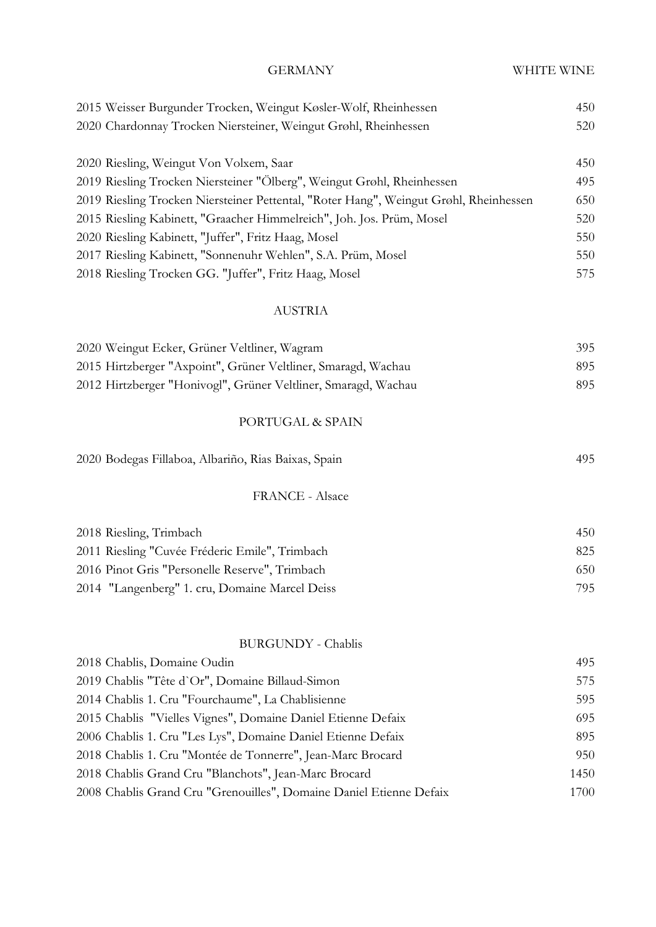| <b>GERMANY</b>                                                                        | WHITE WINE |
|---------------------------------------------------------------------------------------|------------|
| 2015 Weisser Burgunder Trocken, Weingut Køsler-Wolf, Rheinhessen                      | 450        |
| 2020 Chardonnay Trocken Niersteiner, Weingut Grøhl, Rheinhessen                       | 520        |
| 2020 Riesling, Weingut Von Volxem, Saar                                               | 450        |
| 2019 Riesling Trocken Niersteiner "Ölberg", Weingut Grøhl, Rheinhessen                | 495        |
| 2019 Riesling Trocken Niersteiner Pettental, "Roter Hang", Weingut Grøhl, Rheinhessen | 650        |
| 2015 Riesling Kabinett, "Graacher Himmelreich", Joh. Jos. Prüm, Mosel                 | 520        |
| 2020 Riesling Kabinett, "Juffer", Fritz Haag, Mosel                                   | 550        |
| 2017 Riesling Kabinett, "Sonnenuhr Wehlen", S.A. Prüm, Mosel                          | 550        |
| 2018 Riesling Trocken GG. "Juffer", Fritz Haag, Mosel                                 | 575        |
| <b>AUSTRIA</b>                                                                        |            |
| 2020 Weingut Ecker, Grüner Veltliner, Wagram                                          | 395        |
| 2015 Hirtzberger "Axpoint", Grüner Veltliner, Smaragd, Wachau                         | 895        |
| 2012 Hirtzberger "Honivogl", Grüner Veltliner, Smaragd, Wachau                        | 895        |
| PORTUGAL & SPAIN                                                                      |            |
| 2020 Bodegas Fillaboa, Albariño, Rias Baixas, Spain                                   | 495        |
| <b>FRANCE - Alsace</b>                                                                |            |
| 2018 Riesling, Trimbach                                                               | 450        |
| 2011 Riesling "Cuvée Fréderic Emile", Trimbach                                        | 825        |
| 2016 Pinot Gris "Personelle Reserve", Trimbach                                        | 650        |
| 2014 "Langenberg" 1. cru, Domaine Marcel Deiss                                        | 795        |
| <b>BURGUNDY</b> - Chablis                                                             |            |
| 2018 Chablis, Domaine Oudin                                                           | 495        |
| 2019 Chablis "Tête d'Or", Domaine Billaud-Simon                                       | 575        |
| 2014 Chablis 1. Cru "Fourchaume", La Chablisienne                                     | 595        |
| 2015 Chablis "Vielles Vignes", Domaine Daniel Etienne Defaix                          | 695        |
| 2006 Chablis 1. Cru "Les Lys", Domaine Daniel Etienne Defaix                          | 895        |
| 2018 Chablis 1. Cru "Montée de Tonnerre", Jean-Marc Brocard                           | 950        |
| 2018 Chablis Grand Cru "Blanchots", Jean-Marc Brocard                                 | 1450       |
| 2008 Chablis Grand Cru "Grenouilles", Domaine Daniel Etienne Defaix                   | 1700       |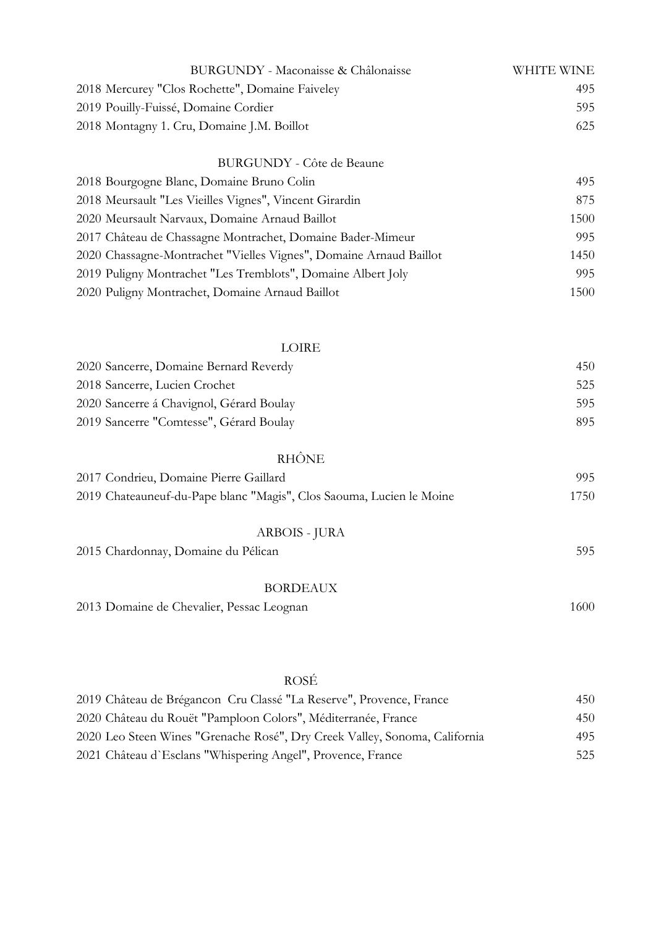| BURGUNDY - Maconaisse & Châlonaisse                                  | WHITE WINE |
|----------------------------------------------------------------------|------------|
| 2018 Mercurey "Clos Rochette", Domaine Faiveley                      | 495        |
| 2019 Pouilly-Fuissé, Domaine Cordier                                 | 595        |
| 2018 Montagny 1. Cru, Domaine J.M. Boillot                           | 625        |
| <b>BURGUNDY</b> - Côte de Beaune                                     |            |
| 2018 Bourgogne Blanc, Domaine Bruno Colin                            | 495        |
| 2018 Meursault "Les Vieilles Vignes", Vincent Girardin               | 875        |
| 2020 Meursault Narvaux, Domaine Arnaud Baillot                       | 1500       |
| 2017 Château de Chassagne Montrachet, Domaine Bader-Mimeur           | 995        |
| 2020 Chassagne-Montrachet "Vielles Vignes", Domaine Arnaud Baillot   | 1450       |
| 2019 Puligny Montrachet "Les Tremblots", Domaine Albert Joly         | 995        |
| 2020 Puligny Montrachet, Domaine Arnaud Baillot                      | 1500       |
|                                                                      |            |
| LOIRE                                                                |            |
| 2020 Sancerre, Domaine Bernard Reverdy                               | 450        |
| 2018 Sancerre, Lucien Crochet                                        | 525        |
| 2020 Sancerre á Chavignol, Gérard Boulay                             | 595        |
| 2019 Sancerre "Comtesse", Gérard Boulay                              | 895        |
| RHÔNE                                                                |            |
| 2017 Condrieu, Domaine Pierre Gaillard                               | 995        |
| 2019 Chateauneuf-du-Pape blanc "Magis", Clos Saouma, Lucien le Moine | 1750       |
| ARBOIS - JURA                                                        |            |
| 2015 Chardonnay, Domaine du Pélican                                  | 595        |
| <b>BORDEAUX</b>                                                      |            |
| 2013 Domaine de Chevalier, Pessac Leognan                            | 1600       |
|                                                                      |            |
| <b>ROSÉ</b>                                                          |            |

| 2019 Château de Brégancon Cru Classé "La Reserve", Provence, France        | 450 |
|----------------------------------------------------------------------------|-----|
| 2020 Château du Rouët "Pamploon Colors", Méditerranée, France              | 450 |
| 2020 Leo Steen Wines "Grenache Rosé", Dry Creek Valley, Sonoma, California | 495 |
| 2021 Château d'Esclans "Whispering Angel", Provence, France                | 525 |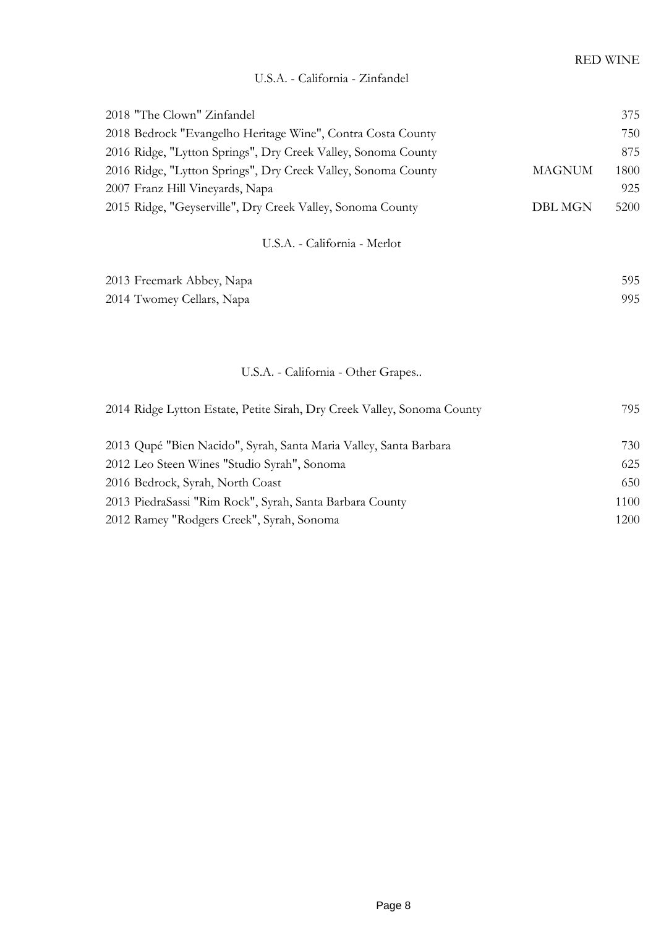| 2018 "The Clown" Zinfandel                                              |                | 375  |
|-------------------------------------------------------------------------|----------------|------|
| 2018 Bedrock "Evangelho Heritage Wine", Contra Costa County             |                | 750  |
| 2016 Ridge, "Lytton Springs", Dry Creek Valley, Sonoma County           |                | 875  |
| 2016 Ridge, "Lytton Springs", Dry Creek Valley, Sonoma County           | <b>MAGNUM</b>  | 1800 |
| 2007 Franz Hill Vineyards, Napa                                         |                | 925  |
| 2015 Ridge, "Geyserville", Dry Creek Valley, Sonoma County              | <b>DBL MGN</b> | 5200 |
| U.S.A. - California - Merlot                                            |                |      |
| 2013 Freemark Abbey, Napa                                               |                | 595  |
| 2014 Twomey Cellars, Napa                                               |                | 995  |
|                                                                         |                |      |
| U.S.A. - California - Other Grapes                                      |                |      |
| 2014 Ridge Lytton Estate, Petite Sirah, Dry Creek Valley, Sonoma County |                | 795  |
| 2013 Qupé "Bien Nacido", Syrah, Santa Maria Valley, Santa Barbara       |                | 730  |
| 2012 Leo Steen Wines "Studio Syrah", Sonoma                             |                | 625  |
| 2016 Bedrock, Syrah, North Coast                                        |                | 650  |
| 2013 PiedraSassi "Rim Rock", Syrah, Santa Barbara County                |                | 1100 |

2012 Ramey "Rodgers Creek", Syrah, Sonoma 1200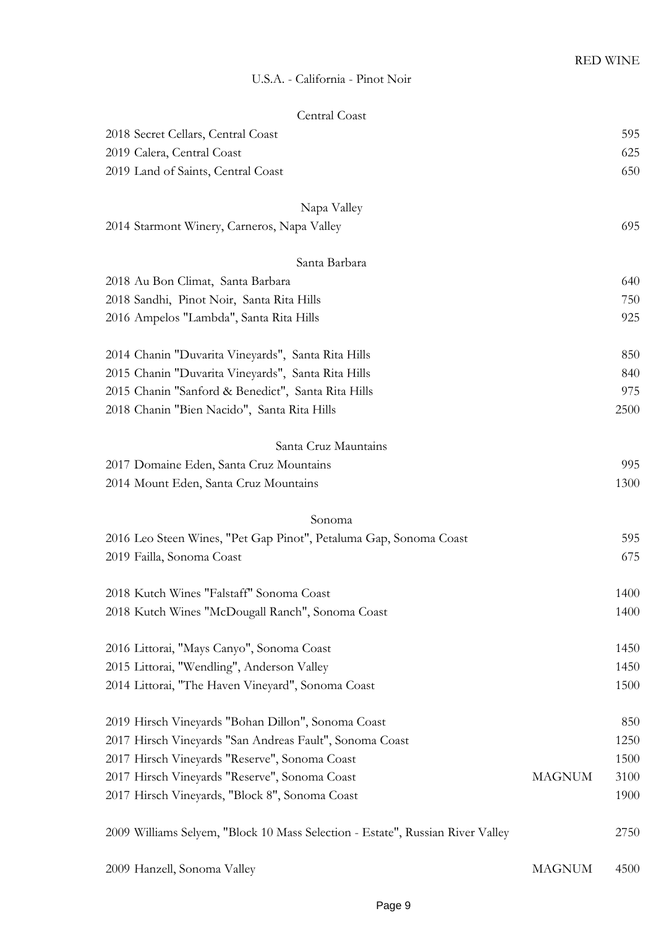#### U.S.A. - California - Pinot Noir

| Central Coast                                                                  |               |      |
|--------------------------------------------------------------------------------|---------------|------|
| 2018 Secret Cellars, Central Coast                                             |               | 595  |
| 2019 Calera, Central Coast                                                     |               | 625  |
| 2019 Land of Saints, Central Coast                                             |               | 650  |
| Napa Valley                                                                    |               |      |
| 2014 Starmont Winery, Carneros, Napa Valley                                    |               | 695  |
| Santa Barbara                                                                  |               |      |
| 2018 Au Bon Climat, Santa Barbara                                              |               | 640  |
| 2018 Sandhi, Pinot Noir, Santa Rita Hills                                      |               | 750  |
| 2016 Ampelos "Lambda", Santa Rita Hills                                        |               | 925  |
|                                                                                |               |      |
| 2014 Chanin "Duvarita Vineyards", Santa Rita Hills                             |               | 850  |
| 2015 Chanin "Duvarita Vineyards", Santa Rita Hills                             |               | 840  |
| 2015 Chanin "Sanford & Benedict", Santa Rita Hills                             |               | 975  |
| 2018 Chanin "Bien Nacido", Santa Rita Hills                                    |               | 2500 |
| Santa Cruz Mauntains                                                           |               |      |
| 2017 Domaine Eden, Santa Cruz Mountains                                        |               | 995  |
| 2014 Mount Eden, Santa Cruz Mountains                                          |               | 1300 |
| Sonoma                                                                         |               |      |
| 2016 Leo Steen Wines, "Pet Gap Pinot", Petaluma Gap, Sonoma Coast              |               | 595  |
| 2019 Failla, Sonoma Coast                                                      |               | 675  |
|                                                                                |               |      |
| 2018 Kutch Wines "Falstaff" Sonoma Coast                                       |               | 1400 |
| 2018 Kutch Wines "McDougall Ranch", Sonoma Coast                               |               | 1400 |
| 2016 Littorai, "Mays Canyo", Sonoma Coast                                      |               | 1450 |
| 2015 Littorai, "Wendling", Anderson Valley                                     |               | 1450 |
| 2014 Littorai, "The Haven Vineyard", Sonoma Coast                              |               | 1500 |
| 2019 Hirsch Vineyards "Bohan Dillon", Sonoma Coast                             |               | 850  |
| 2017 Hirsch Vineyards "San Andreas Fault", Sonoma Coast                        |               | 1250 |
| 2017 Hirsch Vineyards "Reserve", Sonoma Coast                                  |               | 1500 |
| 2017 Hirsch Vineyards "Reserve", Sonoma Coast                                  | <b>MAGNUM</b> | 3100 |
| 2017 Hirsch Vineyards, "Block 8", Sonoma Coast                                 |               | 1900 |
|                                                                                |               |      |
| 2009 Williams Selyem, "Block 10 Mass Selection - Estate", Russian River Valley |               | 2750 |
| 2009 Hanzell, Sonoma Valley                                                    | <b>MAGNUM</b> | 4500 |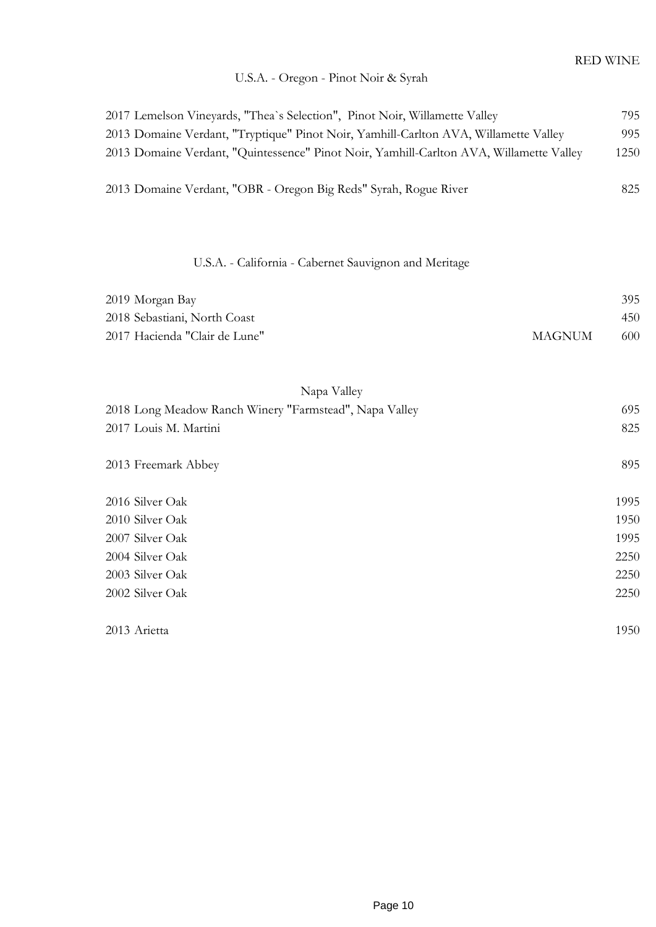## U.S.A. - Oregon - Pinot Noir & Syrah

| 2017 Lemelson Vineyards, "Thea`s Selection", Pinot Noir, Willamette Valley<br>2013 Domaine Verdant, "Tryptique" Pinot Noir, Yamhill-Carlton AVA, Willamette Valley<br>2013 Domaine Verdant, "Quintessence" Pinot Noir, Yamhill-Carlton AVA, Willamette Valley<br>2013 Domaine Verdant, "OBR - Oregon Big Reds" Syrah, Rogue River |               | 795<br>995<br>1250<br>825 |
|-----------------------------------------------------------------------------------------------------------------------------------------------------------------------------------------------------------------------------------------------------------------------------------------------------------------------------------|---------------|---------------------------|
|                                                                                                                                                                                                                                                                                                                                   |               |                           |
|                                                                                                                                                                                                                                                                                                                                   |               |                           |
| U.S.A. - California - Cabernet Sauvignon and Meritage                                                                                                                                                                                                                                                                             |               |                           |
| 2019 Morgan Bay                                                                                                                                                                                                                                                                                                                   |               | 395                       |
| 2018 Sebastiani, North Coast                                                                                                                                                                                                                                                                                                      |               | 450                       |
| 2017 Hacienda "Clair de Lune"                                                                                                                                                                                                                                                                                                     | <b>MAGNUM</b> | 600                       |
|                                                                                                                                                                                                                                                                                                                                   |               |                           |
| Napa Valley                                                                                                                                                                                                                                                                                                                       |               |                           |
| 2018 Long Meadow Ranch Winery "Farmstead", Napa Valley                                                                                                                                                                                                                                                                            |               | 695                       |
| 2017 Louis M. Martini                                                                                                                                                                                                                                                                                                             |               | 825                       |
|                                                                                                                                                                                                                                                                                                                                   |               |                           |
| 2013 Freemark Abbey                                                                                                                                                                                                                                                                                                               |               | 895                       |
|                                                                                                                                                                                                                                                                                                                                   |               |                           |
| 2016 Silver Oak                                                                                                                                                                                                                                                                                                                   |               | 1995                      |
| 2010 Silver Oak                                                                                                                                                                                                                                                                                                                   |               | 1950                      |
| 2007 Silver Oak                                                                                                                                                                                                                                                                                                                   |               | 1995                      |
| 2004 Silver Oak                                                                                                                                                                                                                                                                                                                   |               | 2250                      |
| 2003 Silver Oak                                                                                                                                                                                                                                                                                                                   |               | 2250                      |
| 2002 Silver Oak                                                                                                                                                                                                                                                                                                                   |               | 2250                      |
| 2013 Arietta                                                                                                                                                                                                                                                                                                                      |               | 1950                      |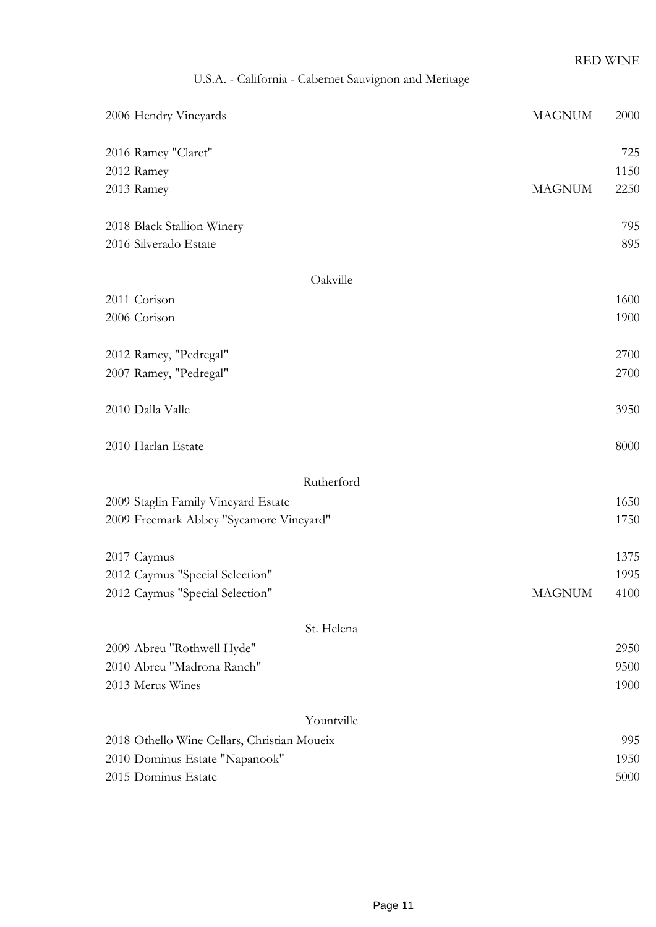# U.S.A. - California - Cabernet Sauvignon and Meritage

| 2006 Hendry Vineyards                       | <b>MAGNUM</b> | 2000 |
|---------------------------------------------|---------------|------|
| 2016 Ramey "Claret"                         |               | 725  |
| 2012 Ramey                                  |               | 1150 |
| 2013 Ramey                                  | <b>MAGNUM</b> | 2250 |
| 2018 Black Stallion Winery                  |               | 795  |
| 2016 Silverado Estate                       |               | 895  |
| Oakville                                    |               |      |
| 2011 Corison                                |               | 1600 |
| 2006 Corison                                |               | 1900 |
| 2012 Ramey, "Pedregal"                      |               | 2700 |
| 2007 Ramey, "Pedregal"                      |               | 2700 |
| 2010 Dalla Valle                            |               | 3950 |
| 2010 Harlan Estate                          |               | 8000 |
| Rutherford                                  |               |      |
| 2009 Staglin Family Vineyard Estate         |               | 1650 |
| 2009 Freemark Abbey "Sycamore Vineyard"     |               | 1750 |
| 2017 Caymus                                 |               | 1375 |
| 2012 Caymus "Special Selection"             |               | 1995 |
| 2012 Caymus "Special Selection"             | <b>MAGNUM</b> | 4100 |
| St. Helena                                  |               |      |
| 2009 Abreu "Rothwell Hyde"                  |               | 2950 |
| 2010 Abreu "Madrona Ranch"                  |               | 9500 |
| 2013 Merus Wines                            |               | 1900 |
| Yountville                                  |               |      |
| 2018 Othello Wine Cellars, Christian Moueix |               | 995  |
| 2010 Dominus Estate "Napanook"              |               | 1950 |
| 2015 Dominus Estate                         |               | 5000 |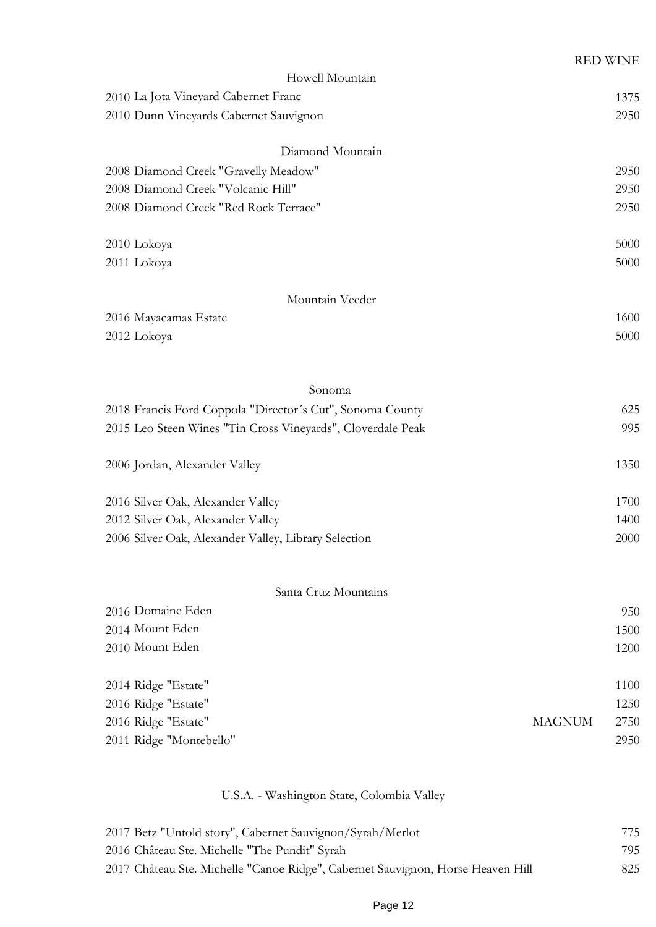|                                                             |               | <b>RED WINE</b> |
|-------------------------------------------------------------|---------------|-----------------|
| Howell Mountain                                             |               |                 |
| 2010 La Jota Vineyard Cabernet Franc                        |               | 1375            |
| 2010 Dunn Vineyards Cabernet Sauvignon                      |               | 2950            |
| Diamond Mountain                                            |               |                 |
| 2008 Diamond Creek "Gravelly Meadow"                        |               | 2950            |
| 2008 Diamond Creek "Volcanic Hill"                          |               | 2950            |
| 2008 Diamond Creek "Red Rock Terrace"                       |               | 2950            |
| 2010 Lokoya                                                 |               | 5000            |
| 2011 Lokoya                                                 |               | 5000            |
| Mountain Veeder                                             |               |                 |
| 2016 Mayacamas Estate                                       |               | 1600            |
| 2012 Lokoya                                                 |               | 5000            |
|                                                             |               |                 |
| Sonoma                                                      |               |                 |
| 2018 Francis Ford Coppola "Director's Cut", Sonoma County   |               | 625             |
| 2015 Leo Steen Wines "Tin Cross Vineyards", Cloverdale Peak |               | 995             |
| 2006 Jordan, Alexander Valley                               |               | 1350            |
| 2016 Silver Oak, Alexander Valley                           |               | 1700            |
| 2012 Silver Oak, Alexander Valley                           |               | 1400            |
| 2006 Silver Oak, Alexander Valley, Library Selection        |               | 2000            |
|                                                             |               |                 |
| Santa Cruz Mountains                                        |               |                 |
| 2016 Domaine Eden                                           |               | 950             |
| 2014 Mount Eden                                             |               | 1500            |
| 2010 Mount Eden                                             |               | 1200            |
| 2014 Ridge "Estate"                                         |               | 1100            |
| 2016 Ridge "Estate"                                         |               | 1250            |
| 2016 Ridge "Estate"                                         | <b>MAGNUM</b> | 2750            |
| 2011 Ridge "Montebello"                                     |               | 2950            |
|                                                             |               |                 |

# U.S.A. - Washington State, Colombia Valley

| 2017 Betz "Untold story", Cabernet Sauvignon/Syrah/Merlot                       | 775 |
|---------------------------------------------------------------------------------|-----|
| 2016 Château Ste. Michelle "The Pundit" Syrah                                   | 795 |
| 2017 Château Ste. Michelle "Canoe Ridge", Cabernet Sauvignon, Horse Heaven Hill | 825 |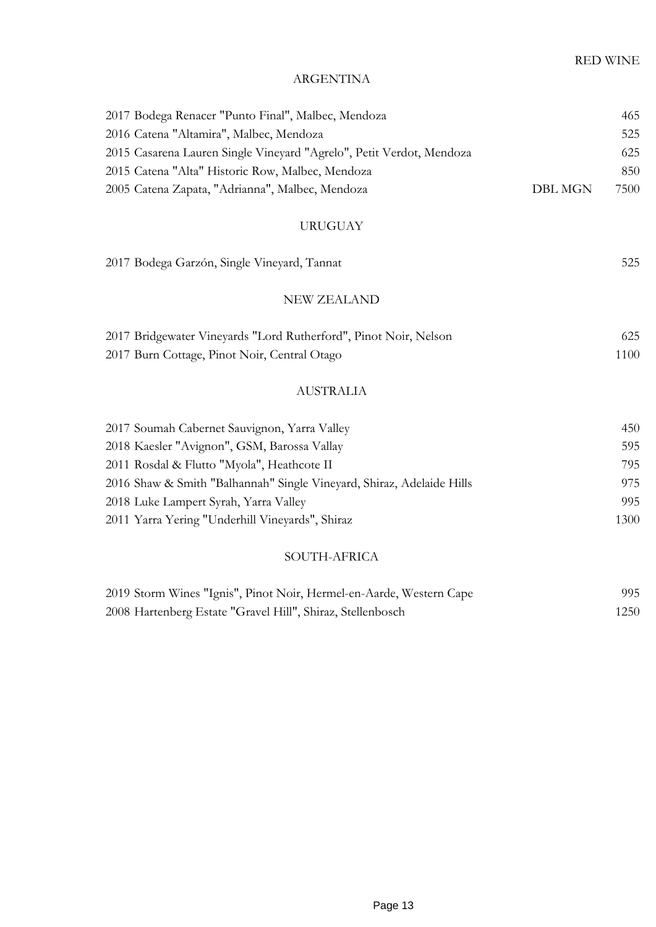#### ARGENTINA

| 2017 Bodega Renacer "Punto Final", Malbec, Mendoza                   |         | 465  |
|----------------------------------------------------------------------|---------|------|
| 2016 Catena "Altamira", Malbec, Mendoza                              |         | 525  |
| 2015 Casarena Lauren Single Vineyard "Agrelo", Petit Verdot, Mendoza |         | 625  |
| 2015 Catena "Alta" Historic Row, Malbec, Mendoza                     |         | 850  |
| 2005 Catena Zapata, "Adrianna", Malbec, Mendoza                      | DBL MGN | 7500 |
| <b>URUGUAY</b>                                                       |         |      |
| 2017 Bodega Garzón, Single Vineyard, Tannat                          |         | 525  |
| <b>NEW ZEALAND</b>                                                   |         |      |
| 2017 Bridgewater Vineyards "Lord Rutherford", Pinot Noir, Nelson     |         | 625  |

| 2017 Burn Cottage, Pinot Noir, Central Otago | 1100 |
|----------------------------------------------|------|
|                                              |      |

## AUSTRALIA

| 2017 Soumah Cabernet Sauvignon, Yarra Valley                          | 450  |
|-----------------------------------------------------------------------|------|
| 2018 Kaesler "Avignon", GSM, Barossa Vallay                           | 595  |
| 2011 Rosdal & Flutto "Myola", Heathcote II                            | 795  |
| 2016 Shaw & Smith "Balhannah" Single Vineyard, Shiraz, Adelaide Hills | 975  |
| 2018 Luke Lampert Syrah, Yarra Valley                                 | 995  |
| 2011 Yarra Yering "Underhill Vineyards", Shiraz                       | 1300 |

## SOUTH-AFRICA

| 2019 Storm Wines "Ignis", Pinot Noir, Hermel-en-Aarde, Western Cape | 995  |
|---------------------------------------------------------------------|------|
| 2008 Hartenberg Estate "Gravel Hill", Shiraz, Stellenbosch          | 1250 |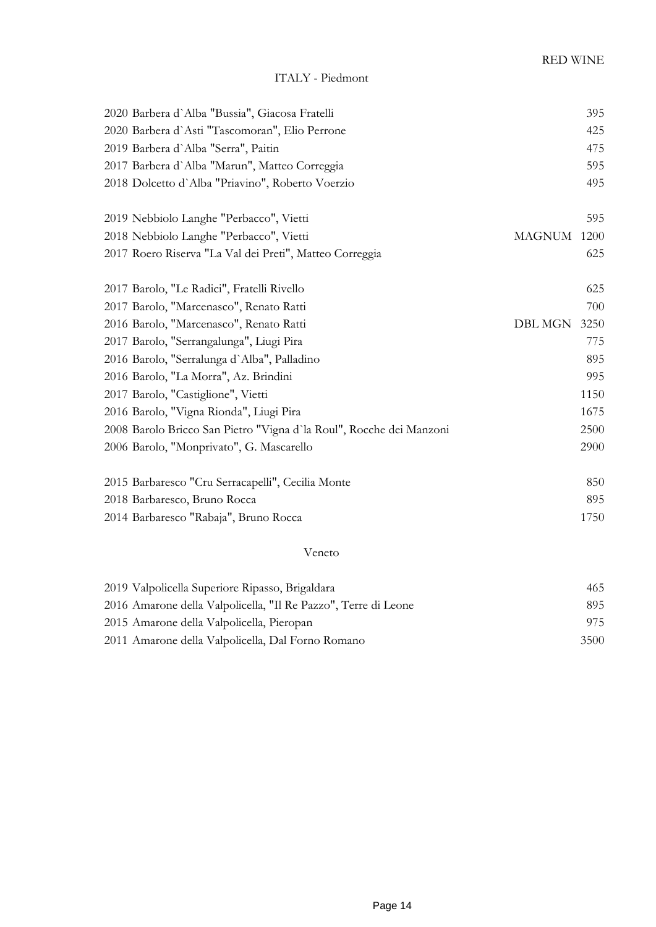# ITALY - Piedmont

| 2020 Barbera d'Alba "Bussia", Giacosa Fratelli                      |                | 395  |
|---------------------------------------------------------------------|----------------|------|
| 2020 Barbera d'Asti "Tascomoran", Elio Perrone                      |                | 425  |
| 2019 Barbera d'Alba "Serra", Paitin                                 |                | 475  |
| 2017 Barbera d'Alba "Marun", Matteo Correggia                       |                | 595  |
| 2018 Dolcetto d'Alba "Priavino", Roberto Voerzio                    |                | 495  |
| 2019 Nebbiolo Langhe "Perbacco", Vietti                             |                | 595  |
| 2018 Nebbiolo Langhe "Perbacco", Vietti                             | <b>MAGNUM</b>  | 1200 |
| 2017 Roero Riserva "La Val dei Preti", Matteo Correggia             |                | 625  |
| 2017 Barolo, "Le Radici", Fratelli Rivello                          |                | 625  |
| 2017 Barolo, "Marcenasco", Renato Ratti                             |                | 700  |
| 2016 Barolo, "Marcenasco", Renato Ratti                             | <b>DBL MGN</b> | 3250 |
| 2017 Barolo, "Serrangalunga", Liugi Pira                            |                | 775  |
| 2016 Barolo, "Serralunga d'Alba", Palladino                         |                | 895  |
| 2016 Barolo, "La Morra", Az. Brindini                               |                | 995  |
| 2017 Barolo, "Castiglione", Vietti                                  |                | 1150 |
| 2016 Barolo, "Vigna Rionda", Liugi Pira                             |                | 1675 |
| 2008 Barolo Bricco San Pietro "Vigna d'la Roul", Rocche dei Manzoni |                | 2500 |
| 2006 Barolo, "Monprivato", G. Mascarello                            |                | 2900 |
| 2015 Barbaresco "Cru Serracapelli", Cecilia Monte                   |                | 850  |
| 2018 Barbaresco, Bruno Rocca                                        |                | 895  |
| 2014 Barbaresco "Rabaja", Bruno Rocca                               |                | 1750 |
|                                                                     |                |      |

#### Veneto

| 2019 Valpolicella Superiore Ripasso, Brigaldara                | 465  |
|----------------------------------------------------------------|------|
| 2016 Amarone della Valpolicella, "Il Re Pazzo", Terre di Leone | 895  |
| 2015 Amarone della Valpolicella, Pieropan                      | 975  |
| 2011 Amarone della Valpolicella, Dal Forno Romano              | 3500 |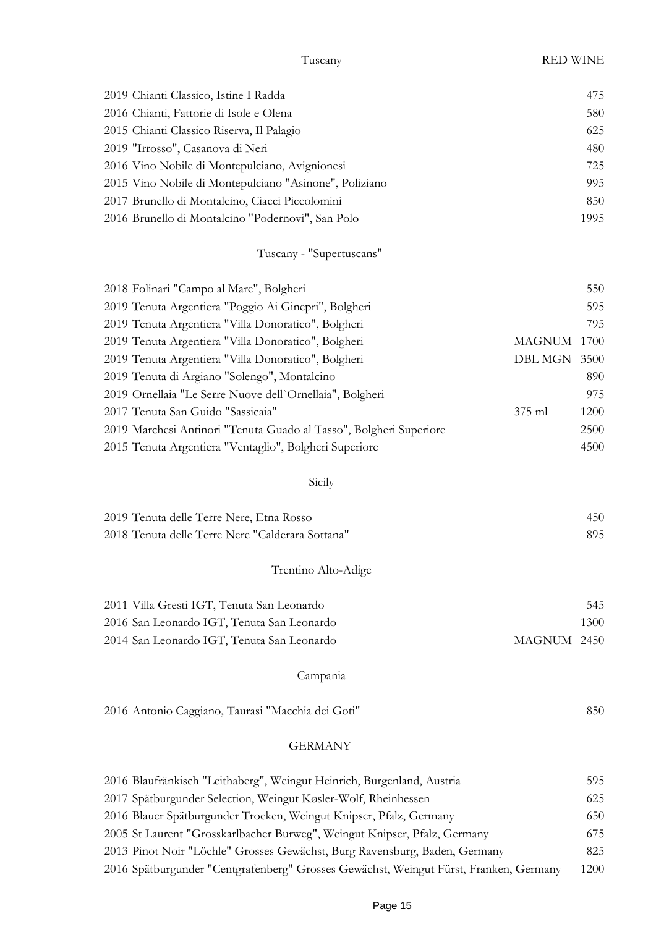# Tuscany RED WINE

| 2019 Chianti Classico, Istine I Radda                              |                | 475  |
|--------------------------------------------------------------------|----------------|------|
| 2016 Chianti, Fattorie di Isole e Olena                            |                | 580  |
| 2015 Chianti Classico Riserva, Il Palagio                          |                | 625  |
| 2019 "Irrosso", Casanova di Neri                                   |                | 480  |
| 2016 Vino Nobile di Montepulciano, Avignionesi                     |                | 725  |
| 2015 Vino Nobile di Montepulciano "Asinone", Poliziano             |                | 995  |
| 2017 Brunello di Montalcino, Ciacci Piccolomini                    |                | 850  |
| 2016 Brunello di Montalcino "Podernovi", San Polo                  |                | 1995 |
| Tuscany - "Supertuscans"                                           |                |      |
| 2018 Folinari "Campo al Mare", Bolgheri                            |                | 550  |
| 2019 Tenuta Argentiera "Poggio Ai Ginepri", Bolgheri               |                | 595  |
| 2019 Tenuta Argentiera "Villa Donoratico", Bolgheri                |                | 795  |
| 2019 Tenuta Argentiera "Villa Donoratico", Bolgheri                | <b>MAGNUM</b>  | 1700 |
| 2019 Tenuta Argentiera "Villa Donoratico", Bolgheri                | <b>DBL MGN</b> | 3500 |
| 2019 Tenuta di Argiano "Solengo", Montalcino                       |                | 890  |
| 2019 Ornellaia "Le Serre Nuove dell'Ornellaia", Bolgheri           |                | 975  |
| 2017 Tenuta San Guido "Sassicaia"                                  | 375 ml         | 1200 |
| 2019 Marchesi Antinori "Tenuta Guado al Tasso", Bolgheri Superiore |                | 2500 |
| 2015 Tenuta Argentiera "Ventaglio", Bolgheri Superiore             |                | 4500 |
| Sicily                                                             |                |      |
| 2019 Tenuta delle Terre Nere, Etna Rosso                           |                | 450  |
| 2018 Tenuta delle Terre Nere "Calderara Sottana"                   |                | 895  |
| Trentino Alto-Adige                                                |                |      |
| 2011 Villa Gresti IGT, Tenuta San Leonardo                         |                | 545  |
| 2016 San Leonardo IGT, Tenuta San Leonardo                         |                | 1300 |
| 2014 San Leonardo IGT, Tenuta San Leonardo                         | MAGNUM 2450    |      |
| Campania                                                           |                |      |
| 2016 Antonio Caggiano, Taurasi "Macchia dei Goti"                  |                | 850  |
| <b>GERMANY</b>                                                     |                |      |
|                                                                    |                |      |

| 2016 Blaufränkisch "Leithaberg", Weingut Heinrich, Burgenland, Austria                | 595  |
|---------------------------------------------------------------------------------------|------|
| 2017 Spätburgunder Selection, Weingut Køsler-Wolf, Rheinhessen                        | 625  |
| 2016 Blauer Spätburgunder Trocken, Weingut Knipser, Pfalz, Germany                    | 650  |
| 2005 St Laurent "Grosskarlbacher Burweg", Weingut Knipser, Pfalz, Germany             | 675  |
| 2013 Pinot Noir "Löchle" Grosses Gewächst, Burg Ravensburg, Baden, Germany            | 825  |
| 2016 Spätburgunder "Centgrafenberg" Grosses Gewächst, Weingut Fürst, Franken, Germany | 1200 |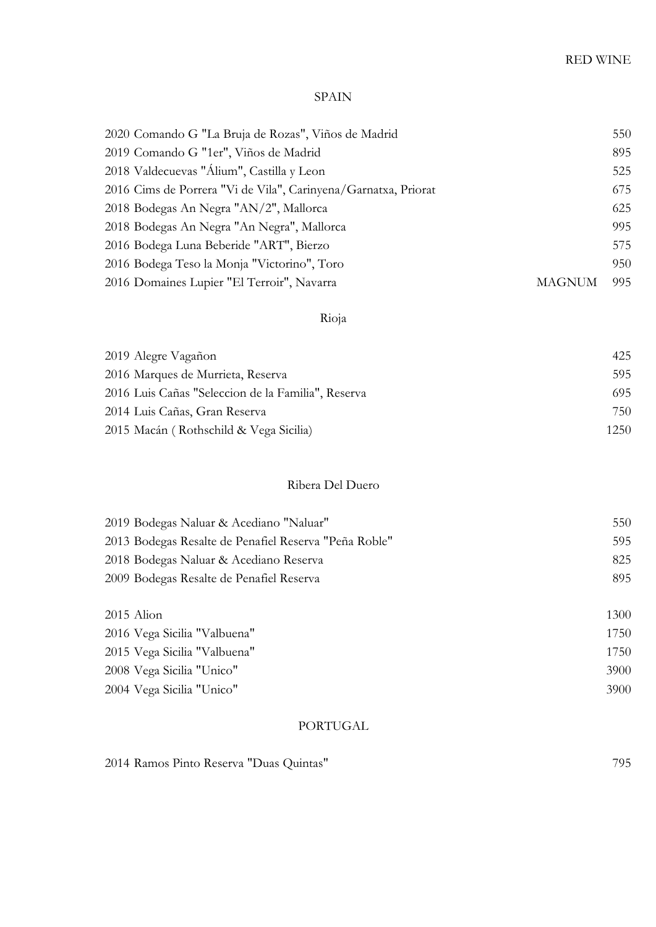#### SPAIN

| 2020 Comando G "La Bruja de Rozas", Viños de Madrid            |        | 550 |
|----------------------------------------------------------------|--------|-----|
| 2019 Comando G "1er", Viños de Madrid                          |        | 895 |
| 2018 Valdecuevas "Álium", Castilla y Leon                      |        | 525 |
| 2016 Cims de Porrera "Vi de Vila", Carinyena/Garnatxa, Priorat |        | 675 |
| 2018 Bodegas An Negra "AN/2", Mallorca                         |        | 625 |
| 2018 Bodegas An Negra "An Negra", Mallorca                     |        | 995 |
| 2016 Bodega Luna Beberide "ART", Bierzo                        |        | 575 |
| 2016 Bodega Teso la Monja "Victorino", Toro                    |        | 950 |
| 2016 Domaines Lupier "El Terroir", Navarra                     | MAGNUM | 995 |
|                                                                |        |     |

# Rioja

| 2019 Alegre Vagañon                                | 425  |
|----------------------------------------------------|------|
| 2016 Marques de Murrieta, Reserva                  | 595  |
| 2016 Luis Cañas "Seleccion de la Familia", Reserva | 695  |
| 2014 Luis Cañas, Gran Reserva                      | 750  |
| 2015 Macán (Rothschild & Vega Sicilia)             | 1250 |

### Ribera Del Duero

| 2019 Bodegas Naluar & Acediano "Naluar"               | 550  |
|-------------------------------------------------------|------|
| 2013 Bodegas Resalte de Penafiel Reserva "Peña Roble" | 595  |
| 2018 Bodegas Naluar & Acediano Reserva                | 825  |
| 2009 Bodegas Resalte de Penafiel Reserva              | 895  |
|                                                       |      |
| $2015$ Alion                                          | 1300 |
| 2016 Vega Sicilia "Valbuena"                          | 1750 |
| 2015 Vega Sicilia "Valbuena"                          | 1750 |
| 2008 Vega Sicilia "Unico"                             | 3900 |
| 2004 Vega Sicilia "Unico"                             | 3900 |

#### PORTUGAL

Ramos Pinto Reserva "Duas Quintas" 795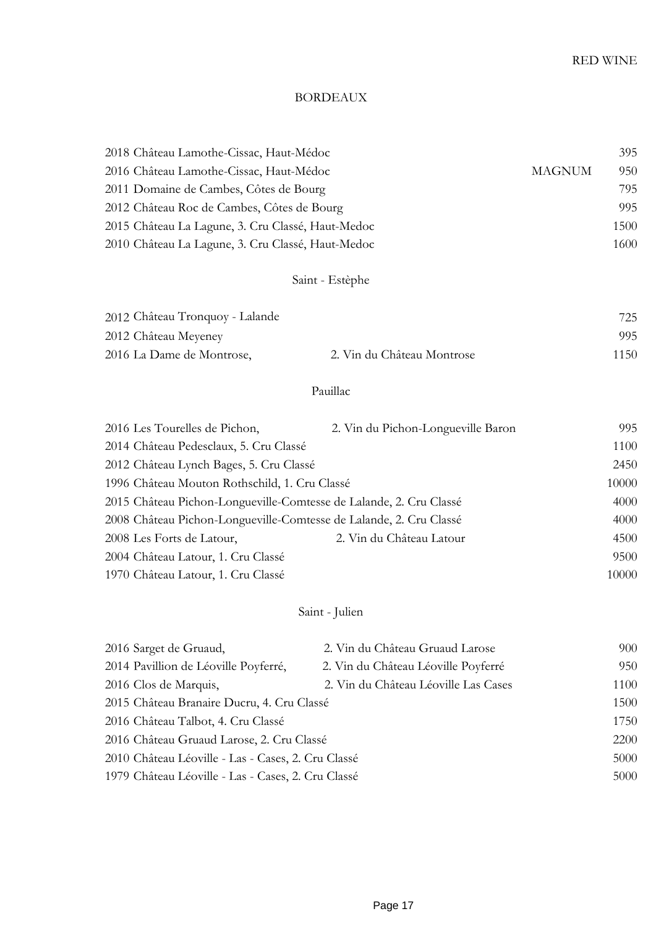## BORDEAUX

| 2018 Château Lamothe-Cissac, Haut-Médoc           | 395                  |
|---------------------------------------------------|----------------------|
| 2016 Château Lamothe-Cissac, Haut-Médoc           | 950<br><b>MAGNUM</b> |
| 2011 Domaine de Cambes, Côtes de Bourg            | 795                  |
| 2012 Château Roc de Cambes, Côtes de Bourg        | 995                  |
| 2015 Château La Lagune, 3. Cru Classé, Haut-Medoc | 1500                 |
| 2010 Château La Lagune, 3. Cru Classé, Haut-Medoc | 1600                 |

# Saint - Estèphe

| 2012 Château Tronquoy - Lalande |                            | 725  |
|---------------------------------|----------------------------|------|
| 2012 Château Meyeney            |                            | 995  |
| 2016 La Dame de Montrose,       | 2. Vin du Château Montrose | 1150 |

# Pauillac

| 2016 Les Tourelles de Pichon,                                      | 2. Vin du Pichon-Longueville Baron | 995   |
|--------------------------------------------------------------------|------------------------------------|-------|
| 2014 Château Pedesclaux, 5. Cru Classé                             |                                    | 1100  |
| 2012 Château Lynch Bages, 5. Cru Classé                            |                                    | 2450  |
| 1996 Château Mouton Rothschild, 1. Cru Classé                      |                                    | 10000 |
| 2015 Château Pichon-Longueville-Comtesse de Lalande, 2. Cru Classé |                                    | 4000  |
| 2008 Château Pichon-Longueville-Comtesse de Lalande, 2. Cru Classé |                                    | 4000  |
| 2008 Les Forts de Latour,                                          | 2. Vin du Château Latour           | 4500  |
| 2004 Château Latour, 1. Cru Classé                                 |                                    | 9500  |
| 1970 Château Latour, 1. Cru Classé                                 |                                    | 10000 |

# Saint - Julien

| 2016 Sarget de Gruaud,                             | 2. Vin du Château Gruaud Larose      | 900  |
|----------------------------------------------------|--------------------------------------|------|
| 2014 Pavillion de Léoville Poyferré,               | 2. Vin du Château Léoville Poyferré  | 950  |
| 2016 Clos de Marquis,                              | 2. Vin du Château Léoville Las Cases | 1100 |
| 2015 Château Branaire Ducru, 4. Cru Classé         |                                      | 1500 |
| 2016 Château Talbot, 4. Cru Classé                 |                                      | 1750 |
| 2016 Château Gruaud Larose, 2. Cru Classé          |                                      | 2200 |
| 2010 Château Léoville - Las - Cases, 2. Cru Classé |                                      | 5000 |
| 1979 Château Léoville - Las - Cases, 2. Cru Classé |                                      | 5000 |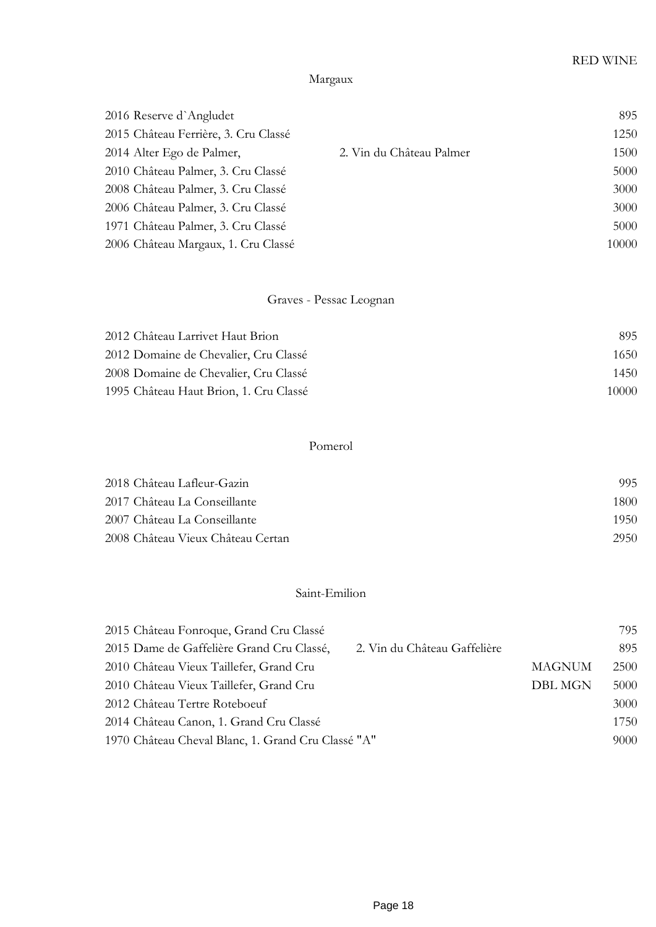# Margaux

| 2016 Reserve d'Angludet              |                          | 895   |
|--------------------------------------|--------------------------|-------|
| 2015 Château Ferrière, 3. Cru Classé |                          | 1250  |
| 2014 Alter Ego de Palmer,            | 2. Vin du Château Palmer | 1500  |
| 2010 Château Palmer, 3. Cru Classé   |                          | 5000  |
| 2008 Château Palmer, 3. Cru Classé   |                          | 3000  |
| 2006 Château Palmer, 3. Cru Classé   |                          | 3000  |
| 1971 Château Palmer, 3. Cru Classé   |                          | 5000  |
| 2006 Château Margaux, 1. Cru Classé  |                          | 10000 |

# Graves - Pessac Leognan

| 2012 Château Larrivet Haut Brion       | 895   |
|----------------------------------------|-------|
| 2012 Domaine de Chevalier, Cru Classé  | 1650. |
| 2008 Domaine de Chevalier, Cru Classé  | 1450  |
| 1995 Château Haut Brion, 1. Cru Classé | 10000 |

## Pomerol

| 2018 Château Lafleur-Gazin          | 995  |
|-------------------------------------|------|
| 2017 Château La Conseillante        | 1800 |
| -2007 Château La Conseillante       | 1950 |
| -2008. Château Vieux Château Certan | 2950 |

## Saint-Emilion

| 2015 Château Fonroque, Grand Cru Classé            |                              |                | 795  |
|----------------------------------------------------|------------------------------|----------------|------|
| 2015 Dame de Gaffelière Grand Cru Classé,          | 2. Vin du Château Gaffelière |                | 895  |
| 2010 Château Vieux Taillefer, Grand Cru            |                              | <b>MAGNUM</b>  | 2500 |
| 2010 Château Vieux Taillefer, Grand Cru            |                              | <b>DBL MGN</b> | 5000 |
| 2012 Château Tertre Roteboeuf                      |                              |                | 3000 |
| 2014 Château Canon, 1. Grand Cru Classé            |                              |                | 1750 |
| 1970 Château Cheval Blanc, 1. Grand Cru Classé "A" |                              |                | 9000 |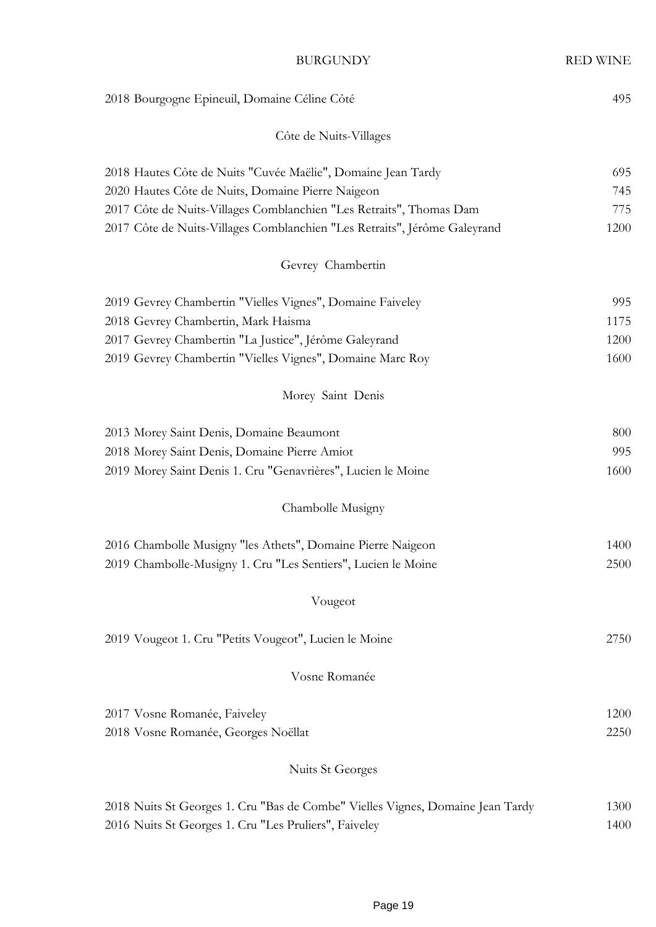| <b>BURGUNDY</b>                                                                | <b>RED WINE</b> |
|--------------------------------------------------------------------------------|-----------------|
| 2018 Bourgogne Epineuil, Domaine Céline Côté                                   | 495             |
| Côte de Nuits-Villages                                                         |                 |
| 2018 Hautes Côte de Nuits "Cuvée Maëlie", Domaine Jean Tardy                   | 695             |
| 2020 Hautes Côte de Nuits, Domaine Pierre Naigeon                              | 745             |
| 2017 Côte de Nuits-Villages Comblanchien "Les Retraits", Thomas Dam            | 775             |
| 2017 Côte de Nuits-Villages Comblanchien "Les Retraits", Jérôme Galeyrand      | 1200            |
| Gevrey Chambertin                                                              |                 |
| 2019 Gevrey Chambertin "Vielles Vignes", Domaine Faiveley                      | 995             |
| 2018 Gevrey Chambertin, Mark Haisma                                            | 1175            |
| 2017 Gevrey Chambertin "La Justice", Jérôme Galeyrand                          | 1200            |
| 2019 Gevrey Chambertin "Vielles Vignes", Domaine Marc Roy                      | 1600            |
| Morey Saint Denis                                                              |                 |
| 2013 Morey Saint Denis, Domaine Beaumont                                       | 800             |
| 2018 Morey Saint Denis, Domaine Pierre Amiot                                   | 995             |
| 2019 Morey Saint Denis 1. Cru "Genavrières", Lucien le Moine                   | 1600            |
| Chambolle Musigny                                                              |                 |
| 2016 Chambolle Musigny "les Athets", Domaine Pierre Naigeon                    | 1400            |
| 2019 Chambolle-Musigny 1. Cru "Les Sentiers", Lucien le Moine                  | 2500            |
| Vougeot                                                                        |                 |
| 2019 Vougeot 1. Cru "Petits Vougeot", Lucien le Moine                          | 2750            |
| Vosne Romanée                                                                  |                 |
| 2017 Vosne Romanée, Faiveley                                                   | 1200            |
| 2018 Vosne Romanée, Georges Noëllat                                            | 2250            |
|                                                                                |                 |
| Nuits St Georges                                                               |                 |
| 2018 Nuits St Georges 1. Cru "Bas de Combe" Vielles Vignes, Domaine Jean Tardy | 1300            |
| 2016 Nuits St Georges 1. Cru "Les Pruliers", Faiveley                          | 1400            |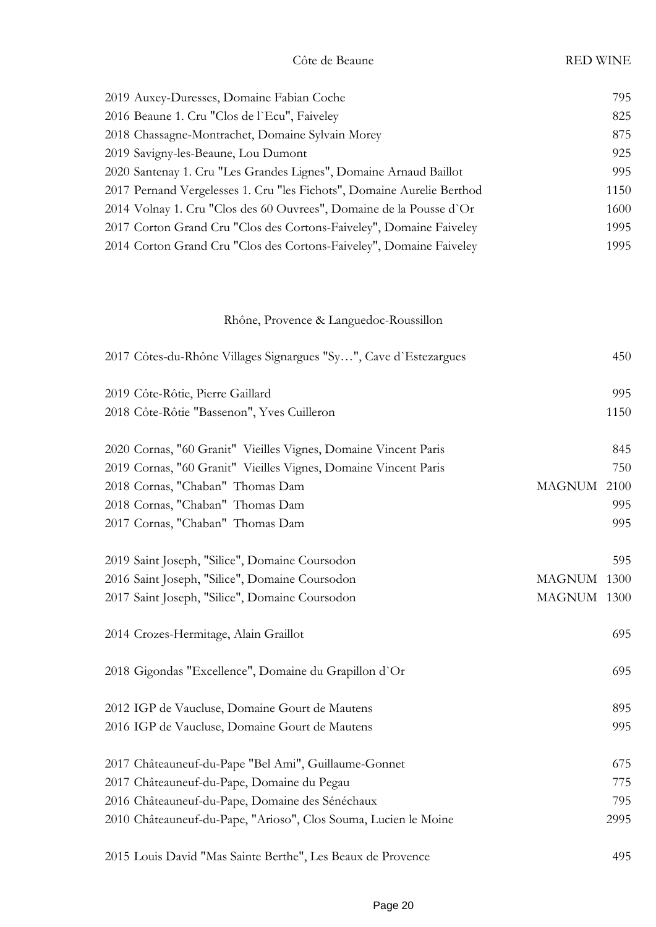| 2019 Auxey-Duresses, Domaine Fabian Coche                              | 795  |
|------------------------------------------------------------------------|------|
| 2016 Beaune 1. Cru "Clos de l'Ecu", Faiveley                           | 825  |
| 2018 Chassagne-Montrachet, Domaine Sylvain Morey                       | 875  |
| 2019 Savigny-les-Beaune, Lou Dumont                                    | 925  |
| 2020 Santenay 1. Cru "Les Grandes Lignes", Domaine Arnaud Baillot      | 995  |
| 2017 Pernand Vergelesses 1. Cru "les Fichots", Domaine Aurelie Berthod | 1150 |
| 2014 Volnay 1. Cru "Clos des 60 Ouvrees", Domaine de la Pousse d'Or    | 1600 |
| 2017 Corton Grand Cru "Clos des Cortons-Faiveley", Domaine Faiveley    | 1995 |
| 2014 Corton Grand Cru "Clos des Cortons-Faiveley", Domaine Faiveley    | 1995 |
|                                                                        |      |

# Rhône, Provence & Languedoc-Roussillon

| 2017 Côtes-du-Rhône Villages Signargues "Sy", Cave d'Estezargues |               | 450  |
|------------------------------------------------------------------|---------------|------|
| 2019 Côte-Rôtie, Pierre Gaillard                                 |               | 995  |
| 2018 Côte-Rôtie "Bassenon", Yves Cuilleron                       |               | 1150 |
| 2020 Cornas, "60 Granit" Vieilles Vignes, Domaine Vincent Paris  |               | 845  |
| 2019 Cornas, "60 Granit" Vieilles Vignes, Domaine Vincent Paris  |               | 750  |
| 2018 Cornas, "Chaban" Thomas Dam                                 | <b>MAGNUM</b> | 2100 |
| 2018 Cornas, "Chaban" Thomas Dam                                 |               | 995  |
| 2017 Cornas, "Chaban" Thomas Dam                                 |               | 995  |
| 2019 Saint Joseph, "Silice", Domaine Coursodon                   |               | 595  |
| 2016 Saint Joseph, "Silice", Domaine Coursodon                   | <b>MAGNUM</b> | 1300 |
| 2017 Saint Joseph, "Silice", Domaine Coursodon                   | MAGNUM 1300   |      |
| 2014 Crozes-Hermitage, Alain Graillot                            |               | 695  |
| 2018 Gigondas "Excellence", Domaine du Grapillon d'Or            |               | 695  |
| 2012 IGP de Vaucluse, Domaine Gourt de Mautens                   |               | 895  |
| 2016 IGP de Vaucluse, Domaine Gourt de Mautens                   |               | 995  |
| 2017 Châteauneuf-du-Pape "Bel Ami", Guillaume-Gonnet             |               | 675  |
| 2017 Châteauneuf-du-Pape, Domaine du Pegau                       |               | 775  |
| 2016 Châteauneuf-du-Pape, Domaine des Sénéchaux                  |               | 795  |
| 2010 Châteauneuf-du-Pape, "Arioso", Clos Souma, Lucien le Moine  |               | 2995 |
| 2015 Louis David "Mas Sainte Berthe", Les Beaux de Provence      |               | 495  |